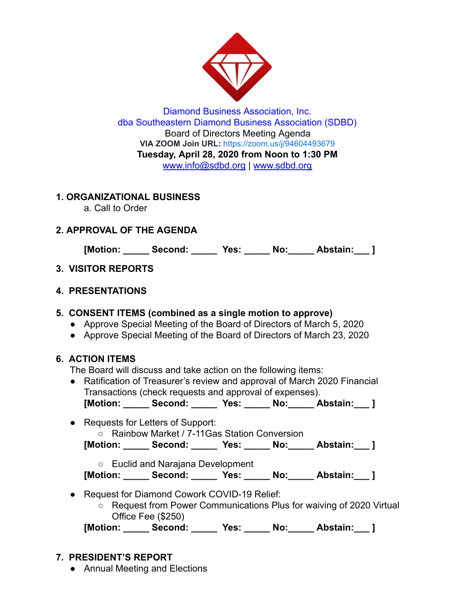

Diamond Business Association, Inc. dba Southeastern Diamond Business Association (SDBD) Board of Directors Meeting Agenda **VIA ZOOM Join URL:** <https://zoom.us/j/94604493679> **Tuesday, April 28, 2020 from Noon to 1:30 PM**  www.info@sdbd.org | [www.sdbd.org](http://www.sdbd.org/)

### **1. ORGANIZATIONAL BUSINESS**

a. Call to Order

# **2. APPROVAL OF THE AGENDA**

**[Motion: \_\_\_\_\_ Second: \_\_\_\_\_ Yes: \_\_\_\_\_ No:\_\_\_\_\_ Abstain:\_\_\_ ]** 

## **3. VISITOR REPORTS**

### **4. PRESENTATIONS**

### **5. CONSENT ITEMS (combined as a single motion to approve)**

- Approve Special Meeting of the Board of Directors of March 5, 2020
- Approve Special Meeting of the Board of Directors of March 23, 2020

## **6. ACTION ITEMS**

The Board will discuss and take action on the following items:

- Ratification of Treasurer's review and approval of March 2020 Financial Transactions (check requests and approval of expenses). **[Motion: \_\_\_\_\_ Second: \_\_\_\_\_ Yes: \_\_\_\_\_ No:\_\_\_\_\_ Abstain:\_\_\_ ]**
- 
- Requests for Letters of Support: ○ Rainbow Market / 7-11Gas Station Conversion

**[Motion: \_\_\_\_\_ Second: \_\_\_\_\_ Yes: \_\_\_\_\_ No:\_\_\_\_\_ Abstain:\_\_\_ ]** 

○ Euclid and Narajana Development

**[Motion: \_\_\_\_\_ Second: \_\_\_\_\_ Yes: \_\_\_\_\_ No:\_\_\_\_\_ Abstain:\_\_\_ ]** 

- Request for Diamond Cowork COVID-19 Relief:
	- Request from Power Communications Plus for waiving of 2020 Virtual Office Fee (\$250)

**[Motion: \_\_\_\_\_ Second: \_\_\_\_\_ Yes: \_\_\_\_\_ No:\_\_\_\_\_ Abstain:\_\_\_ ]** 

## **7. PRESIDENT'S REPORT**

● Annual Meeting and Elections